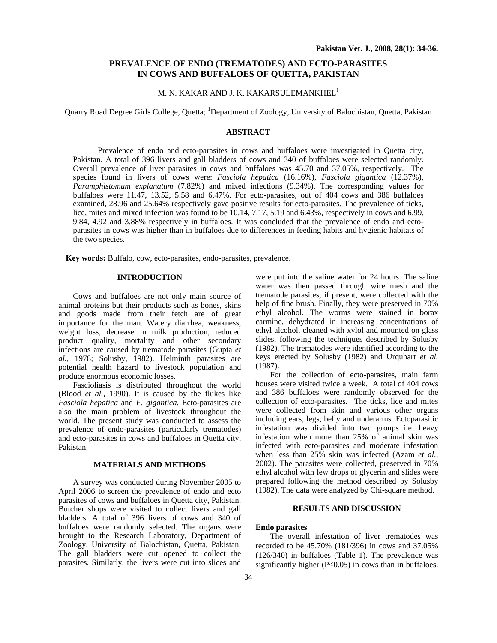# **PREVALENCE OF ENDO (TREMATODES) AND ECTO-PARASITES IN COWS AND BUFFALOES OF QUETTA, PAKISTAN**

# M. N. KAKAR AND J. K. KAKARSULEMANKHEL<sup>1</sup>

Quarry Road Degree Girls College, Quetta; <sup>1</sup>Department of Zoology, University of Balochistan, Quetta, Pakistan

## **ABSTRACT**

 Prevalence of endo and ecto-parasites in cows and buffaloes were investigated in Quetta city, Pakistan. A total of 396 livers and gall bladders of cows and 340 of buffaloes were selected randomly. Overall prevalence of liver parasites in cows and buffaloes was 45.70 and 37.05%, respectively. The species found in livers of cows were: *Fasciola hepatica* (16.16%), *Fasciola gigantica* (12.37%), *Paramphistomum explanatum* (7.82%) and mixed infections (9.34%). The corresponding values for buffaloes were 11.47, 13.52, 5.58 and 6.47%. For ecto-parasites, out of 404 cows and 386 buffaloes examined, 28.96 and 25.64% respectively gave positive results for ecto-parasites. The prevalence of ticks, lice, mites and mixed infection was found to be 10.14, 7.17, 5.19 and 6.43%, respectively in cows and 6.99, 9.84, 4.92 and 3.88% respectively in buffaloes. It was concluded that the prevalence of endo and ectoparasites in cows was higher than in buffaloes due to differences in feeding habits and hygienic habitats of the two species.

**Key words:** Buffalo, cow, ecto-parasites, endo-parasites, prevalence.

### **INTRODUCTION**

Cows and buffaloes are not only main source of animal proteins but their products such as bones, skins and goods made from their fetch are of great importance for the man. Watery diarrhea, weakness, weight loss, decrease in milk production, reduced product quality, mortality and other secondary infections are caused by trematode parasites (Gupta *et al.,* 1978; Solusby, 1982). Helminth parasites are potential health hazard to livestock population and produce enormous economic losses.

Fascioliasis is distributed throughout the world (Blood *et al.,* 1990). It is caused by the flukes like *Fasciola hepatica* and *F. gigantica.* Ecto-parasites are also the main problem of livestock throughout the world. The present study was conducted to assess the prevalence of endo-parasites (particularly trematodes) and ecto-parasites in cows and buffaloes in Quetta city, Pakistan.

### **MATERIALS AND METHODS**

A survey was conducted during November 2005 to April 2006 to screen the prevalence of endo and ecto parasites of cows and buffaloes in Quetta city, Pakistan. Butcher shops were visited to collect livers and gall bladders. A total of 396 livers of cows and 340 of buffaloes were randomly selected. The organs were brought to the Research Laboratory, Department of Zoology, University of Balochistan, Quetta, Pakistan. The gall bladders were cut opened to collect the parasites. Similarly, the livers were cut into slices and

were put into the saline water for 24 hours. The saline water was then passed through wire mesh and the trematode parasites, if present, were collected with the help of fine brush. Finally, they were preserved in 70% ethyl alcohol. The worms were stained in borax carmine, dehydrated in increasing concentrations of ethyl alcohol, cleaned with xylol and mounted on glass slides, following the techniques described by Solusby (1982). The trematodes were identified according to the keys erected by Solusby (1982) and Urquhart *et al.*  (1987).

For the collection of ecto-parasites, main farm houses were visited twice a week. A total of 404 cows and 386 buffaloes were randomly observed for the collection of ecto-parasites. The ticks, lice and mites were collected from skin and various other organs including ears, legs, belly and underarms. Ectoparasitic infestation was divided into two groups i.e. heavy infestation when more than 25% of animal skin was infected with ecto-parasites and moderate infestation when less than 25% skin was infected (Azam *et al.,*  2002). The parasites were collected, preserved in 70% ethyl alcohol with few drops of glycerin and slides were prepared following the method described by Solusby (1982). The data were analyzed by Chi-square method.

## **RESULTS AND DISCUSSION**

#### **Endo parasites**

The overall infestation of liver trematodes was recorded to be 45.70% (181/396) in cows and 37.05% (126/340) in buffaloes (Table 1). The prevalence was significantly higher (P<0.05) in cows than in buffaloes.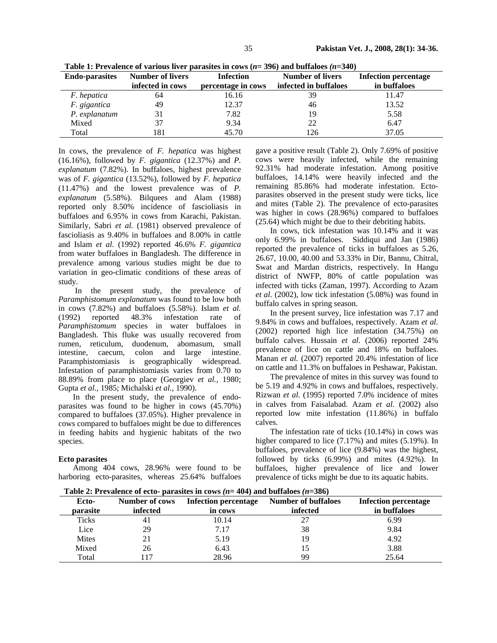| <b>Endo-parasites</b> | <b>Number of livers</b><br>infected in cows | <b>Infection</b><br>percentage in cows | <b>Number of livers</b><br>infected in buffaloes | <b>Infection percentage</b><br>in buffaloes |
|-----------------------|---------------------------------------------|----------------------------------------|--------------------------------------------------|---------------------------------------------|
| <i>F.</i> hepatica    | 64                                          | 16.16                                  | 39                                               | 11.47                                       |
| F. gigantica          | 49                                          | 12.37                                  | 46                                               | 13.52                                       |
| P. explanatum         |                                             | 7.82                                   | 19                                               | 5.58                                        |
| Mixed                 |                                             | 9.34                                   | 22                                               | 6.47                                        |
| Total                 | 81                                          | 45.70                                  | 26                                               | 37.05                                       |

**Table 1: Prevalence of various liver parasites in cows (***n***= 396) and buffaloes** *(n***=340)** 

In cows, the prevalence of *F. hepatica* was highest (16.16%), followed by *F. gigantica* (12.37%) and *P. explanatum* (7.82%). In buffaloes, highest prevalence was of *F. gigantica* (13.52%), followed by *F. hepatica* (11.47%) and the lowest prevalence was of *P. explanatum* (5.58%). Bilquees and Alam (1988) reported only 8.50% incidence of fascioliasis in buffaloes and 6.95% in cows from Karachi, Pakistan. Similarly, Sabri *et al.* (1981) observed prevalence of fascioliasis as 9.40% in buffaloes and 8.00% in cattle and Islam *et al.* (1992) reported 46.6% *F. gigantica* from water buffaloes in Bangladesh. The difference in prevalence among various studies might be due to variation in geo-climatic conditions of these areas of study.

 In the present study, the prevalence of *Paramphistomum explanatum* was found to be low both in cows (7.82%) and buffaloes (5.58%). Islam *et al.* (1992) reported 48.3% infestation rate of *Paramphistomum* species in water buffaloes in Bangladesh. This fluke was usually recovered from rumen, reticulum, duodenum, abomasum, small intestine, caecum, colon and large intestine. Paramphistomiasis is geographically widespread. Infestation of paramphistomiasis varies from 0.70 to 88.89% from place to place (Georgiev *et al.,* 1980; Gupta *et al.,* 1985; Michalski *et al.,* 1990).

In the present study, the prevalence of endoparasites was found to be higher in cows (45.70%) compared to buffaloes (37.05%). Higher prevalence in cows compared to buffaloes might be due to differences in feeding habits and hygienic habitats of the two species.

#### **Ecto parasites**

Among 404 cows, 28.96% were found to be harboring ecto-parasites, whereas 25.64% buffaloes gave a positive result (Table 2). Only 7.69% of positive cows were heavily infected, while the remaining 92.31% had moderate infestation. Among positive buffaloes, 14.14% were heavily infected and the remaining 85.86% had moderate infestation. Ectoparasites observed in the present study were ticks, lice and mites (Table 2). The prevalence of ecto-parasites was higher in cows (28.96%) compared to buffaloes (25.64) which might be due to their debriting habits.

In cows, tick infestation was 10.14% and it was only 6.99% in buffaloes. Siddiqui and Jan (1986) reported the prevalence of ticks in buffaloes as 5.26, 26.67, 10.00, 40.00 and 53.33% in Dir, Bannu, Chitral, Swat and Mardan districts, respectively. In Hangu district of NWFP, 80% of cattle population was infected with ticks (Zaman, 1997). According to Azam *et al.* (2002), low tick infestation (5.08%) was found in buffalo calves in spring season.

In the present survey, lice infestation was 7.17 and 9.84% in cows and buffaloes, respectively. Azam *et al.*  (2002) reported high lice infestation (34.75%) on buffalo calves. Hussain *et al.* (2006) reported 24% prevalence of lice on cattle and 18% on buffaloes. Manan *et al.* (2007) reported 20.4% infestation of lice on cattle and 11.3% on buffaloes in Peshawar, Pakistan.

The prevalence of mites in this survey was found to be 5.19 and 4.92% in cows and buffaloes, respectively. Rizwan *et al.* (1995) reported 7.0% incidence of mites in calves from Faisalabad. Azam *et al.* (2002) also reported low mite infestation (11.86%) in buffalo calves.

The infestation rate of ticks (10.14%) in cows was higher compared to lice (7.17%) and mites (5.19%). In buffaloes, prevalence of lice (9.84%) was the highest, followed by ticks (6.99%) and mites (4.92%). In buffaloes, higher prevalence of lice and lower prevalence of ticks might be due to its aquatic habits.

**Table 2: Prevalence of ecto- parasites in cows**  $(n = 404)$  **and buffaloes**  $(n = 386)$ 

| Ecto-    | <b>Number of cows</b> | <b>Infection percentage</b> | <b>Number of buffaloes</b> | <b>Infection percentage</b> |
|----------|-----------------------|-----------------------------|----------------------------|-----------------------------|
| parasite | infected              | in cows                     | infected                   | in buffaloes                |
| Ticks    | 41                    | 10.14                       |                            | 6.99                        |
| Lice     | 29                    | 7.17                        | 38                         | 9.84                        |
| Mites    |                       | 5.19                        | 19                         | 4.92                        |
| Mixed    | 26                    | 6.43                        | 15                         | 3.88                        |
| Total    |                       | 28.96                       | 99                         | 25.64                       |